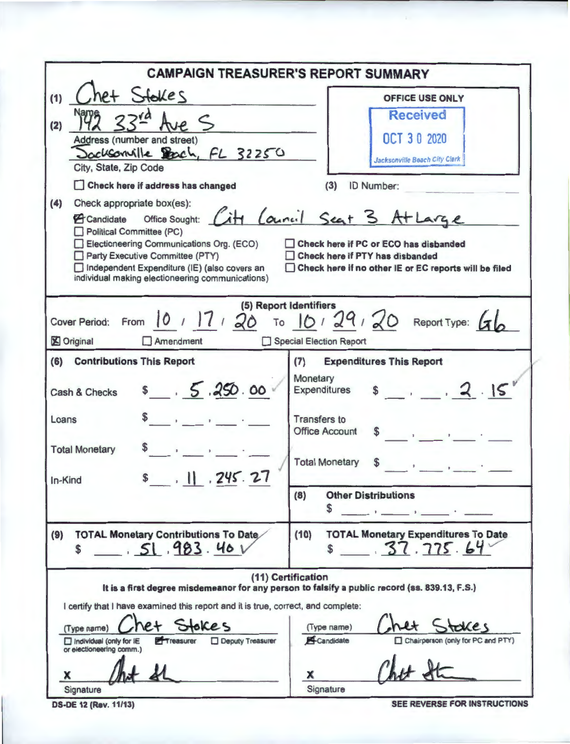|                                                                                                                                                                                                                                                                                                                                                 | <b>CAMPAIGN TREASURER'S REPORT SUMMARY</b>                                                                                                                                                             |
|-------------------------------------------------------------------------------------------------------------------------------------------------------------------------------------------------------------------------------------------------------------------------------------------------------------------------------------------------|--------------------------------------------------------------------------------------------------------------------------------------------------------------------------------------------------------|
| het Stokes<br>(1)                                                                                                                                                                                                                                                                                                                               | <b>OFFICE USE ONLY</b>                                                                                                                                                                                 |
| (2)<br>Address (number and street)<br>Sacksonville Bach, FL 32250                                                                                                                                                                                                                                                                               | <b>Received</b><br><b>OCT 30 2020</b><br><b>Jacksonville Beach City Clerk</b>                                                                                                                          |
| City, State, Zip Code                                                                                                                                                                                                                                                                                                                           |                                                                                                                                                                                                        |
| Check here if address has changed<br>(4)<br>Check appropriate box(es):<br>Brandidate Office Sought: City Council Seat 3 At Large<br>Political Committee (PC)<br>Electioneering Communications Org. (ECO)<br>Party Executive Committee (PTY)<br>Independent Expenditure (IE) (also covers an<br>individual making electioneering communications) | ID Number:<br>(3)<br>Check here if PC or ECO has disbanded<br>Check here if PTY has disbanded<br>Check here if no other IE or EC reports will be filed                                                 |
| 10, 17, 20<br>Cover Period: From<br><b>X</b> Original<br>$\Box$ Amendment<br>$\mathbf{1}$                                                                                                                                                                                                                                                       | (5) Report Identifiers<br>To $10/29/20$ Report Type: $61$<br><b>Special Election Report</b>                                                                                                            |
| (6)<br><b>Contributions This Report</b>                                                                                                                                                                                                                                                                                                         | <b>Expenditures This Report</b><br>(7)                                                                                                                                                                 |
| \$5.250.00<br>Cash & Checks                                                                                                                                                                                                                                                                                                                     | Monetary<br>$s$ , 2.15<br>Expenditures                                                                                                                                                                 |
| Loans                                                                                                                                                                                                                                                                                                                                           | <b>Transfers to</b><br>$\label{eq:2.1} \mathcal{L}(\mathbf{X}) = \mathcal{L}(\mathbf{X}) = \mathcal{L}(\mathbf{X}) = \mathcal{L}(\mathbf{X}) = \mathcal{L}(\mathbf{X})$<br><b>Office Account</b><br>\$ |
| <b>Total Monetary</b><br>$s$ . 11 . 245. 27<br>In-Kind                                                                                                                                                                                                                                                                                          | <b>Total Monetary</b><br>\$                                                                                                                                                                            |
|                                                                                                                                                                                                                                                                                                                                                 | <b>Other Distributions</b><br>(8)<br>S.<br>and the control of the control of the con-                                                                                                                  |
| <b>TOTAL Monetary Contributions To Date</b><br>(9)<br>51.983.404<br>\$                                                                                                                                                                                                                                                                          | <b>TOTAL Monetary Expenditures To Date</b><br>(10)<br>\$37.775.64                                                                                                                                      |
| I certify that I have examined this report and it is true, correct, and complete:<br>het Stokes<br>(Type name)<br>Treasurer<br>Deputy Treasurer<br>Individual (only for IE<br>or electioneering comm.)                                                                                                                                          | (11) Certification<br>It is a first degree misdemeanor for any person to falsify a public record (ss. 839.13, F.S.)<br>(Type name)<br>Candidate<br>Chairperson (only for PC and PTY)                   |
| x<br>Signature                                                                                                                                                                                                                                                                                                                                  | x<br>Signature                                                                                                                                                                                         |

**DS-DE 12 (Rev. 11/13)** SEE REVERSE FOR INSTRUCTIONS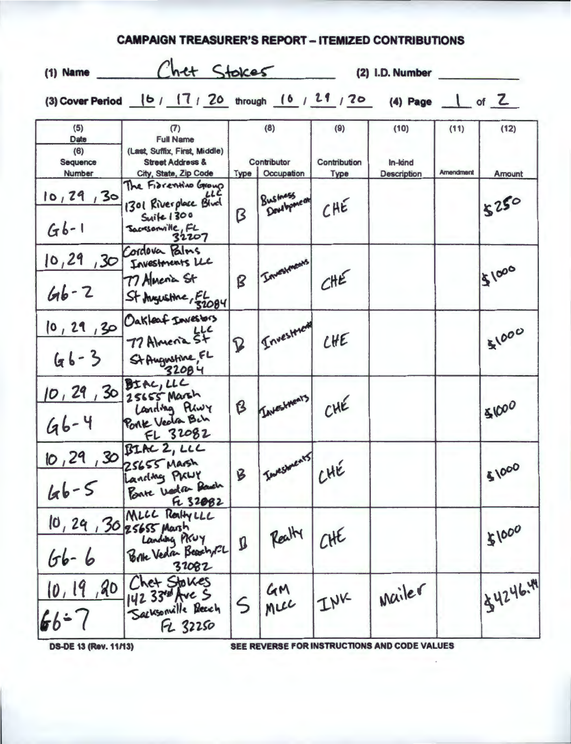| $(1)$ Name                               | Chet Stokes                                                                                                      |                                          |                         | (2) I.D. Number             |                                       |                          |                |
|------------------------------------------|------------------------------------------------------------------------------------------------------------------|------------------------------------------|-------------------------|-----------------------------|---------------------------------------|--------------------------|----------------|
|                                          | (3) Cover Period (b / 17 / 20 through (6 / 21 / 20 (4) Page 1 of Z                                               |                                          |                         |                             |                                       |                          |                |
| (5)<br>Date<br>(6)<br>Sequence<br>Number | (7)<br><b>Full Name</b><br>(Last, Suffix, First, Middle)<br><b>Street Address &amp;</b><br>City, State, Zip Code | (8)<br>Contributor<br>Occupation<br>Type |                         | (9)<br>Contribution<br>Type | (10)<br>In-kind<br><b>Description</b> | (11)<br><b>Amendment</b> | (12)<br>Amount |
| 10, 29, 30<br>$G_{b-1}$                  | The Fibrentino Group<br>1301 Riverplace Blud<br>Suite 1300<br>Sacresonville, FL<br>32207                         | Β                                        | Business<br>Dougbponeon | CHE                         |                                       |                          | 5250           |
| 10, 29, 30<br>$66 - 2$                   | Cordova Palms<br>Investments LLC<br>77 Almenia St<br>St Augustine, 52084                                         | B                                        | Investments             | CHE                         |                                       |                          | 151000         |
| 10, 29, 30<br>$66 - 3$                   | Oakleaf Investors<br>77 Almenia St<br>St Augustine, FL                                                           | $\mathbf P$                              | Investment              | CHE                         |                                       |                          | 51000          |
| $46 - 4$                                 | 10, 29, 30 Stac, LLC<br>Landing Play<br>Porte Vector Bih<br>FL 32082                                             | B                                        | Investments,            | CHE                         |                                       |                          | 51000          |
| $46 - 5$                                 | 10,29,30 BIAC 2, LLC<br>Landing PKLY<br>Ponte Vala Badh<br>Fe 32082                                              | B                                        | I Investments           | CHE                         |                                       |                          | \$1000         |
| 10, 29, 30 25655 Marsh<br>$66 - 6$       | MLCC Realty LLC<br>Landing PKUY<br>Brk Veda Beach, CL<br>32082                                                   | Ø                                        | Realty                  | CHE                         |                                       |                          | \$1000         |
| 10,19,20<br>$66 - 7$                     | Chet Stokes<br>Sacksonille Beach<br>FL 32250                                                                     | $\varsigma$                              | GM<br>Mice              | INK                         | wailer                                |                          | 134246.44      |

**CAMPAIGN TREASURER'S REPORT - ITEMIZED CONTRIBUTIONS** 

**DS-DE 13 (Rev. 11/13)** 

SEE REVERSE FOR INSTRUCTIONS AND CODE VALUES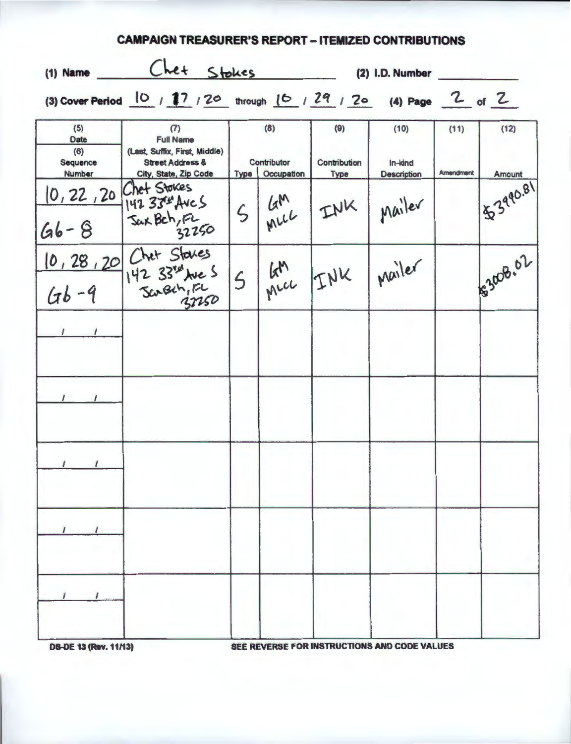| (1) Name                                                           | Chet Stokes                                                                                                      |                          |                                         |                             | (2) I.D. Number                              |                   |                |
|--------------------------------------------------------------------|------------------------------------------------------------------------------------------------------------------|--------------------------|-----------------------------------------|-----------------------------|----------------------------------------------|-------------------|----------------|
| (3) Cover Period 10 / 17 / 20 through 16 / 29 / 20 (4) Page 2 of 2 |                                                                                                                  |                          |                                         |                             |                                              |                   |                |
| (5)<br>Date<br>(6)<br>Sequence<br>Number                           | (7)<br><b>Full Name</b><br>(Last, Suffix, First, Middle)<br><b>Street Address &amp;</b><br>City, State, Zip Code |                          | (8)<br>Contributor<br>Type   Occupation | (9)<br>Contribution<br>Type | (10)<br>In-kind<br><b>Description</b>        | (11)<br>Amendment | (12)<br>Amount |
| $66 - 8$                                                           | 10, 22, 20 Chet Stokes<br>142 334 Aves<br>Sax Bch, F2<br>32250                                                   | 5                        | KM INK                                  |                             | Mailer                                       |                   | 153990.81      |
|                                                                    | $10, 28, 20$ Chet States<br>$(4b - 9)$ 142 33 <sup>nd</sup> Jue S<br>142 33 We S                                 | $\overline{\mathcal{L}}$ |                                         | KM INK Mailer               |                                              |                   | \$3008.02      |
|                                                                    |                                                                                                                  |                          |                                         |                             |                                              |                   |                |
|                                                                    |                                                                                                                  |                          |                                         |                             |                                              |                   |                |
| $\frac{1}{2}$<br>$\sqrt{ }$                                        |                                                                                                                  |                          |                                         |                             |                                              |                   |                |
|                                                                    |                                                                                                                  |                          |                                         |                             |                                              |                   |                |
|                                                                    |                                                                                                                  |                          |                                         |                             |                                              |                   |                |
| <b>DS-DE 13 (Rev. 11/13)</b>                                       |                                                                                                                  |                          |                                         |                             | SEE REVERSE FOR INSTRUCTIONS AND CODE VALUES |                   |                |

**CAMPAIGN TREASURER'S REPORT - ITEMIZED CONTRIBUTIONS**